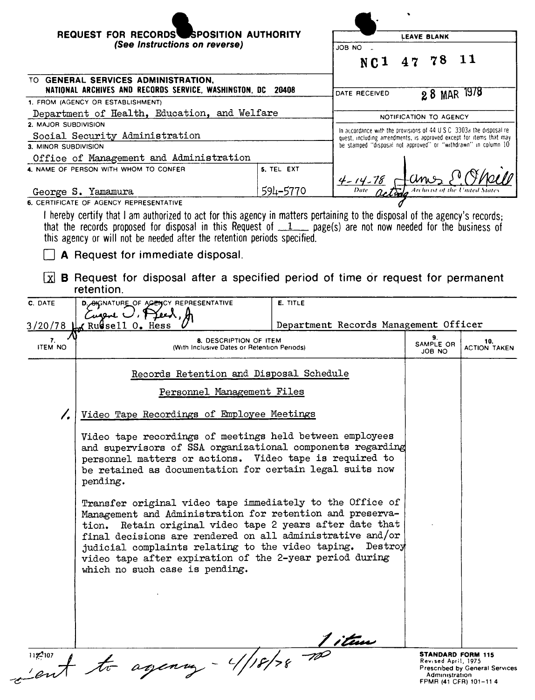|                                                                                                    | REQUEST FOR RECORDS SPOSITION AUTHORITY<br>(See Instructions on reverse)                                                                                                                                                                                                                                                                                                                                  |                                                                       | <b>LEAVE BLANK</b>                                                                                                                   |    |                        |                                                                   |
|----------------------------------------------------------------------------------------------------|-----------------------------------------------------------------------------------------------------------------------------------------------------------------------------------------------------------------------------------------------------------------------------------------------------------------------------------------------------------------------------------------------------------|-----------------------------------------------------------------------|--------------------------------------------------------------------------------------------------------------------------------------|----|------------------------|-------------------------------------------------------------------|
|                                                                                                    |                                                                                                                                                                                                                                                                                                                                                                                                           |                                                                       | JOB NO                                                                                                                               |    |                        |                                                                   |
|                                                                                                    |                                                                                                                                                                                                                                                                                                                                                                                                           |                                                                       | NC <sub>1</sub>                                                                                                                      | 47 | 78                     | 11                                                                |
| TO GENERAL SERVICES ADMINISTRATION,<br>NATIONAL ARCHIVES AND RECORDS SERVICE, WASHINGTON, DC 20408 |                                                                                                                                                                                                                                                                                                                                                                                                           |                                                                       | DATE RECEIVED                                                                                                                        |    | 28 MAR 1978            |                                                                   |
|                                                                                                    | 1. FROM (AGENCY OR ESTABLISHMENT)                                                                                                                                                                                                                                                                                                                                                                         |                                                                       |                                                                                                                                      |    |                        |                                                                   |
|                                                                                                    | Department of Health, Education, and Welfare                                                                                                                                                                                                                                                                                                                                                              |                                                                       |                                                                                                                                      |    | NOTIFICATION TO AGENCY |                                                                   |
| 2. MAJOR SUBDIVISION<br>Social Security Administration                                             |                                                                                                                                                                                                                                                                                                                                                                                                           | In accordance with the provisions of 44 U.S.C. 3303a the disposal re- |                                                                                                                                      |    |                        |                                                                   |
| 3. MINOR SUBDIVISION                                                                               |                                                                                                                                                                                                                                                                                                                                                                                                           |                                                                       | quest, including amendments, is approved except for items that may<br>be stamped "disposal not approved" or "withdrawn" in column 10 |    |                        |                                                                   |
|                                                                                                    | Office of Management and Administration                                                                                                                                                                                                                                                                                                                                                                   |                                                                       |                                                                                                                                      |    |                        |                                                                   |
|                                                                                                    | 4. NAME OF PERSON WITH WHOM TO CONFER                                                                                                                                                                                                                                                                                                                                                                     | 5. TEL EXT                                                            |                                                                                                                                      |    |                        |                                                                   |
|                                                                                                    |                                                                                                                                                                                                                                                                                                                                                                                                           |                                                                       | $\frac{4 - 14 - 78}{\text{Date} - 24}$                                                                                               |    |                        |                                                                   |
|                                                                                                    | George S. Yamamura                                                                                                                                                                                                                                                                                                                                                                                        | 594-5770                                                              |                                                                                                                                      |    |                        |                                                                   |
|                                                                                                    | 6. CERTIFICATE OF AGENCY REPRESENTATIVE<br>I hereby certify that I am authorized to act for this agency in matters pertaining to the disposal of the agency's records;                                                                                                                                                                                                                                    |                                                                       |                                                                                                                                      |    |                        |                                                                   |
| X                                                                                                  | this agency or will not be needed after the retention periods specified.<br><b>A</b> Request for immediate disposal.<br><b>B</b> Request for disposal after a specified period of time or request for permanent<br>retention.                                                                                                                                                                             |                                                                       |                                                                                                                                      |    |                        |                                                                   |
| C. DATE                                                                                            | D. OKCINATURE OF AGENCY REPRESENTATIVE                                                                                                                                                                                                                                                                                                                                                                    | E. TITLE                                                              |                                                                                                                                      |    |                        |                                                                   |
|                                                                                                    | Curene U.                                                                                                                                                                                                                                                                                                                                                                                                 |                                                                       |                                                                                                                                      |    |                        |                                                                   |
| 3/20/78                                                                                            | <b><i>(</i>Rugsell O.</b> Hess                                                                                                                                                                                                                                                                                                                                                                            |                                                                       | Department Records Management Officer                                                                                                |    |                        |                                                                   |
| 7.                                                                                                 | 8. DESCRIPTION OF ITEM                                                                                                                                                                                                                                                                                                                                                                                    |                                                                       |                                                                                                                                      |    | 9.                     | 10.                                                               |
| <b>ITEM NO</b>                                                                                     | (With Inclusive Dates or Retention Periods)                                                                                                                                                                                                                                                                                                                                                               |                                                                       |                                                                                                                                      |    | SAMPLE OR<br>JOB NO    | <b>ACTION TAKEN</b>                                               |
|                                                                                                    | Records Retention and Disposal Schedule                                                                                                                                                                                                                                                                                                                                                                   |                                                                       |                                                                                                                                      |    |                        |                                                                   |
|                                                                                                    | Personnel Management Files                                                                                                                                                                                                                                                                                                                                                                                |                                                                       |                                                                                                                                      |    |                        |                                                                   |
| 7.                                                                                                 | Video Tape Recordings of Employee Meetings                                                                                                                                                                                                                                                                                                                                                                |                                                                       |                                                                                                                                      |    |                        |                                                                   |
|                                                                                                    | Video tape recordings of meetings held between employees<br>and supervisors of SSA organizational components regarding<br>personnel matters or actions. Video tape is required to<br>be retained as documentation for certain legal suits now<br>pending.                                                                                                                                                 |                                                                       |                                                                                                                                      |    |                        |                                                                   |
|                                                                                                    | Transfer original video tape immediately to the Office of<br>Management and Administration for retention and preserva-<br>tion. Retain original video tape 2 years after date that<br>final decisions are rendered on all administrative and/or<br>judicial complaints relating to the video taping. Destroy<br>video tape after expiration of the 2-year period during<br>which no such case is pending. |                                                                       |                                                                                                                                      |    |                        |                                                                   |
|                                                                                                    | 1197107 + to agency - 4/18/78 700                                                                                                                                                                                                                                                                                                                                                                         |                                                                       |                                                                                                                                      |    | Revised April, 1975    | <b>STANDARD FORM 115</b><br><b>Prescribed by General Services</b> |